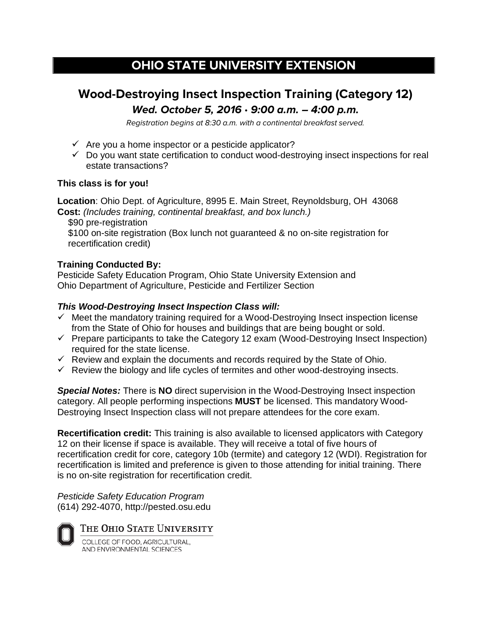# **OHIO STATE UNIVERSITY EXTENSION**

## **Wood-Destroying Insect Inspection Training (Category 12) Wed. October 5, 2016** • **9:00 a.m. – 4:00 p.m.**

Registration begins at 8:30 a.m. with a continental breakfast served.

- $\checkmark$  Are you a home inspector or a pesticide applicator?
- $\checkmark$  Do you want state certification to conduct wood-destroying insect inspections for real estate transactions?

#### **This class is for you!**

**Location**: Ohio Dept. of Agriculture, 8995 E. Main Street, Reynoldsburg, OH 43068 **Cost:** *(Includes training, continental breakfast, and box lunch.)*

\$90 pre-registration

\$100 on-site registration (Box lunch not guaranteed & no on-site registration for recertification credit)

## **Training Conducted By:**

Pesticide Safety Education Program, Ohio State University Extension and Ohio Department of Agriculture, Pesticide and Fertilizer Section

## *This Wood-Destroying Insect Inspection Class will:*

- $\checkmark$  Meet the mandatory training required for a Wood-Destroying Insect inspection license from the State of Ohio for houses and buildings that are being bought or sold.
- $\checkmark$  Prepare participants to take the Category 12 exam (Wood-Destroying Insect Inspection) required for the state license.
- $\checkmark$  Review and explain the documents and records required by the State of Ohio.
- $\checkmark$  Review the biology and life cycles of termites and other wood-destroying insects.

*Special Notes:* There is **NO** direct supervision in the Wood-Destroying Insect inspection category. All people performing inspections **MUST** be licensed. This mandatory Wood-Destroying Insect Inspection class will not prepare attendees for the core exam.

**Recertification credit:** This training is also available to licensed applicators with Category 12 on their license if space is available. They will receive a total of five hours of recertification credit for core, category 10b (termite) and category 12 (WDI). Registration for recertification is limited and preference is given to those attending for initial training. There is no on-site registration for recertification credit.

*Pesticide Safety Education Program* (614) 292-4070, http://pested.osu.edu

THE OHIO STATE UNIVERSITY

COLLEGE OF FOOD, AGRICULTURAL, AND ENVIRONMENTAL SCIENCES